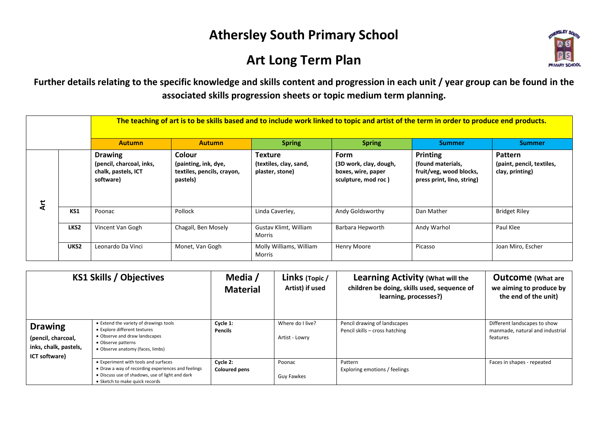## **Athersley South Primary School**

## **Art Long Term Plan**



**Further details relating to the specific knowledge and skills content and progression in each unit / year group can be found in the associated skills progression sheets or topic medium term planning.**

|   |                  |                                                                                | The teaching of art is to be skills based and to include work linked to topic and artist of the term in order to produce end products. |                                                      |                                                                                    |                                                                                               |                                                         |  |  |  |  |
|---|------------------|--------------------------------------------------------------------------------|----------------------------------------------------------------------------------------------------------------------------------------|------------------------------------------------------|------------------------------------------------------------------------------------|-----------------------------------------------------------------------------------------------|---------------------------------------------------------|--|--|--|--|
|   |                  | <b>Autumn</b>                                                                  | <b>Autumn</b>                                                                                                                          | <b>Spring</b>                                        | <b>Spring</b>                                                                      | <b>Summer</b>                                                                                 | Summer                                                  |  |  |  |  |
| ä |                  | <b>Drawing</b><br>(pencil, charcoal, inks,<br>chalk, pastels, ICT<br>software) | Colour<br>(painting, ink, dye,<br>textiles, pencils, crayon,<br>pastels)                                                               | Texture<br>(textiles, clay, sand,<br>plaster, stone) | <b>Form</b><br>(3D work, clay, dough,<br>boxes, wire, paper<br>sculpture, mod roc) | <b>Printing</b><br>(found materials,<br>fruit/veg, wood blocks,<br>press print, lino, string) | Pattern<br>(paint, pencil, textiles,<br>clay, printing) |  |  |  |  |
|   | KS1              | Poonac                                                                         | Pollock                                                                                                                                | Linda Caverley,                                      | Andy Goldsworthy                                                                   | Dan Mather                                                                                    | <b>Bridget Riley</b>                                    |  |  |  |  |
|   | LKS <sub>2</sub> | Vincent Van Gogh                                                               | Chagall, Ben Mosely                                                                                                                    | Gustav Klimt, William<br>Morris                      | Barbara Hepworth                                                                   | Andy Warhol                                                                                   | Paul Klee                                               |  |  |  |  |
|   | UKS <sub>2</sub> | Leonardo Da Vinci                                                              | Monet, Van Gogh                                                                                                                        | Molly Williams, William<br>Morris                    | Henry Moore                                                                        | Picasso                                                                                       | Joan Miro, Escher                                       |  |  |  |  |

| <b>KS1 Skills / Objectives</b>                                                 |                                                                                                                                                                                 | Media /<br><b>Material</b>       | Links (Topic /<br>Artist) if used  | <b>Learning Activity (What will the</b><br>children be doing, skills used, sequence of<br>learning, processes?) | <b>Outcome</b> (What are<br>we aiming to produce by<br>the end of the unit) |
|--------------------------------------------------------------------------------|---------------------------------------------------------------------------------------------------------------------------------------------------------------------------------|----------------------------------|------------------------------------|-----------------------------------------------------------------------------------------------------------------|-----------------------------------------------------------------------------|
| <b>Drawing</b><br>(pencil, charcoal,<br>inks, chalk, pastels,<br>ICT software) | • Extend the variety of drawings tools<br>• Explore different textures<br>• Observe and draw landscapes<br>• Observe patterns<br>• Observe anatomy (faces, limbs)               | Cycle 1:<br><b>Pencils</b>       | Where do I live?<br>Artist - Lowry | Pencil drawing of landscapes<br>Pencil skills - cross hatching                                                  | Different landscapes to show<br>manmade, natural and industrial<br>features |
|                                                                                | • Experiment with tools and surfaces<br>• Draw a way of recording experiences and feelings<br>• Discuss use of shadows, use of light and dark<br>• Sketch to make quick records | Cycle 2:<br><b>Coloured pens</b> | Poonac<br>Guy Fawkes               | Pattern<br>Exploring emotions / feelings                                                                        | Faces in shapes - repeated                                                  |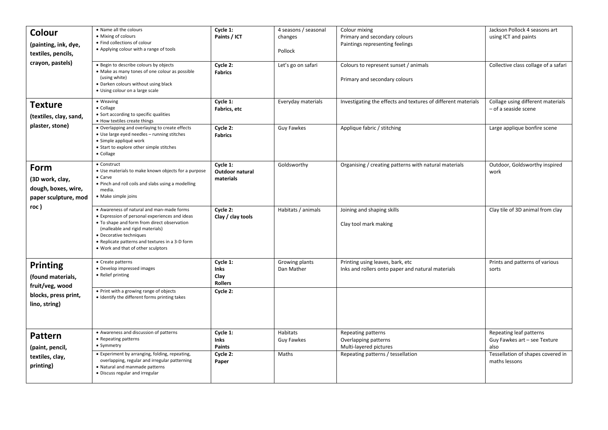| Colour                                                                 | • Name all the colours                                                                                                                                                                                                                                                                            | Cycle 1:                                          | 4 seasons / seasonal          | Colour mixing                                                                         | Jackson Pollock 4 seasons art                                   |
|------------------------------------------------------------------------|---------------------------------------------------------------------------------------------------------------------------------------------------------------------------------------------------------------------------------------------------------------------------------------------------|---------------------------------------------------|-------------------------------|---------------------------------------------------------------------------------------|-----------------------------------------------------------------|
|                                                                        | • Mixing of colours                                                                                                                                                                                                                                                                               | Paints / ICT                                      | changes                       | Primary and secondary colours                                                         | using ICT and paints                                            |
| (painting, ink, dye,                                                   | • Find collections of colour                                                                                                                                                                                                                                                                      |                                                   |                               | Paintings representing feelings                                                       |                                                                 |
| textiles, pencils,                                                     | • Applying colour with a range of tools                                                                                                                                                                                                                                                           |                                                   | Pollock                       |                                                                                       |                                                                 |
| crayon, pastels)                                                       | . Begin to describe colours by objects<br>• Make as many tones of one colour as possible<br>(using white)<br>• Darken colours without using black<br>• Using colour on a large scale                                                                                                              | Cycle 2:<br><b>Fabrics</b>                        | Let's go on safari            | Colours to represent sunset / animals<br>Primary and secondary colours                | Collective class collage of a safari                            |
| <b>Texture</b><br>(textiles, clay, sand,                               | • Weaving<br>• Collage<br>• Sort according to specific qualities<br>• How textiles create things                                                                                                                                                                                                  | Cycle 1:<br>Fabrics, etc                          | Everyday materials            | Investigating the effects and textures of different materials                         | Collage using different materials<br>- of a seaside scene       |
| plaster, stone)                                                        | • Overlapping and overlaying to create effects<br>• Use large eyed needles - running stitches<br>· Simple appliqué work<br>• Start to explore other simple stitches<br>• Collage                                                                                                                  | Cycle 2:<br><b>Fabrics</b>                        | <b>Guy Fawkes</b>             | Applique fabric / stitching                                                           | Large applique bonfire scene                                    |
| Form<br>(3D work, clay,<br>dough, boxes, wire,<br>paper sculpture, mod | • Construct<br>• Use materials to make known objects for a purpose<br>$\bullet$ Carve<br>. Pinch and roll coils and slabs using a modelling<br>media.<br>• Make simple joins                                                                                                                      | Cycle 1:<br>Outdoor natural<br>materials          | Goldsworthy                   | Organising / creating patterns with natural materials                                 | Outdoor, Goldsworthy inspired<br>work                           |
| roc )                                                                  | • Awareness of natural and man-made forms<br>• Expression of personal experiences and ideas<br>• To shape and form from direct observation<br>(malleable and rigid materials)<br>• Decorative techniques<br>• Replicate patterns and textures in a 3-D form<br>. Work and that of other sculptors | Cycle 2:<br>Clay / clay tools                     | Habitats / animals            | Joining and shaping skills<br>Clay tool mark making                                   | Clay tile of 3D animal from clay                                |
| <b>Printing</b><br>(found materials,<br>fruit/veg, wood                | • Create patterns<br>• Develop impressed images<br>• Relief printing                                                                                                                                                                                                                              | Cycle 1:<br><b>Inks</b><br>Clay<br><b>Rollers</b> | Growing plants<br>Dan Mather  | Printing using leaves, bark, etc<br>Inks and rollers onto paper and natural materials | Prints and patterns of various<br>sorts                         |
| blocks, press print,<br>lino, string)                                  | • Print with a growing range of objects<br>• Identify the different forms printing takes                                                                                                                                                                                                          | Cycle 2:                                          |                               |                                                                                       |                                                                 |
| <b>Pattern</b><br>(paint, pencil,                                      | • Awareness and discussion of patterns<br>• Repeating patterns<br>• Symmetry                                                                                                                                                                                                                      | Cycle 1:<br><b>Inks</b><br>Paints                 | Habitats<br><b>Guy Fawkes</b> | Repeating patterns<br>Overlapping patterns<br>Multi-layered pictures                  | Repeating leaf patterns<br>Guy Fawkes art - see Texture<br>also |
| textiles, clay,<br>printing)                                           | • Experiment by arranging, folding, repeating,<br>overlapping, regular and irregular patterning<br>• Natural and manmade patterns<br>· Discuss regular and irregular                                                                                                                              | Cycle 2:<br>Paper                                 | Maths                         | Repeating patterns / tessellation                                                     | Tessellation of shapes covered in<br>maths lessons              |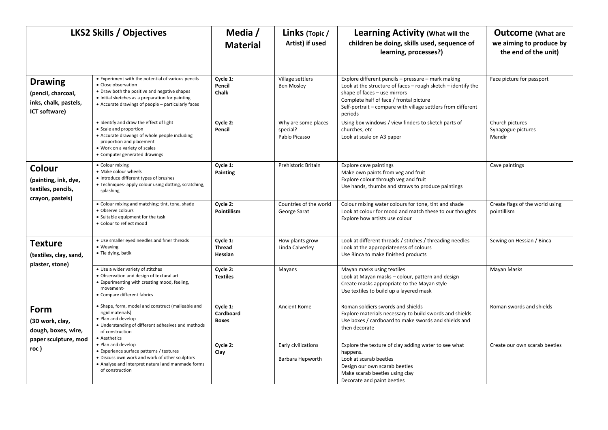| <b>LKS2 Skills / Objectives</b>                                                |                                                                                                                                                                                                                                     | Media /<br><b>Material</b>            | Links (Topic /<br>Artist) if used                | <b>Learning Activity (What will the</b><br>children be doing, skills used, sequence of<br>learning, processes?)                                                                                                                                                          | <b>Outcome</b> (What are<br>we aiming to produce by<br>the end of the unit) |
|--------------------------------------------------------------------------------|-------------------------------------------------------------------------------------------------------------------------------------------------------------------------------------------------------------------------------------|---------------------------------------|--------------------------------------------------|--------------------------------------------------------------------------------------------------------------------------------------------------------------------------------------------------------------------------------------------------------------------------|-----------------------------------------------------------------------------|
| <b>Drawing</b><br>(pencil, charcoal,<br>inks, chalk, pastels,<br>ICT software) | • Experiment with the potential of various pencils<br>• Close observation<br>• Draw both the positive and negative shapes<br>• Initial sketches as a preparation for painting<br>• Accurate drawings of people - particularly faces | Cycle 1:<br>Pencil<br><b>Chalk</b>    | Village settlers<br>Ben Mosley                   | Explore different pencils - pressure - mark making<br>Look at the structure of faces - rough sketch - identify the<br>shape of faces - use mirrors<br>Complete half of face / frontal picture<br>Self-portrait - compare with village settlers from different<br>periods | Face picture for passport                                                   |
|                                                                                | . Identify and draw the effect of light<br>• Scale and proportion<br>• Accurate drawings of whole people including<br>proportion and placement<br>. Work on a variety of scales<br>• Computer generated drawings                    | Cycle 2:<br>Pencil                    | Why are some places<br>special?<br>Pablo Picasso | Using box windows / view finders to sketch parts of<br>churches, etc<br>Look at scale on A3 paper                                                                                                                                                                        | Church pictures<br>Synagogue pictures<br>Mandir                             |
| Colour<br>(painting, ink, dye,<br>textiles, pencils,<br>crayon, pastels)       | • Colour mixing<br>· Make colour wheels<br>• Introduce different types of brushes<br>• Techniques- apply colour using dotting, scratching,<br>splashing                                                                             | Cycle 1:<br>Painting                  | Prehistoric Britain                              | <b>Explore cave paintings</b><br>Make own paints from veg and fruit<br>Explore colour through veg and fruit<br>Use hands, thumbs and straws to produce paintings                                                                                                         | Cave paintings                                                              |
|                                                                                | • Colour mixing and matching; tint, tone, shade<br>· Observe colours<br>• Suitable equipment for the task<br>• Colour to reflect mood                                                                                               | Cycle 2:<br><b>Pointillism</b>        | Countries of the world<br>George Sarat           | Colour mixing water colours for tone, tint and shade<br>Look at colour for mood and match these to our thoughts<br>Explore how artists use colour                                                                                                                        | Create flags of the world using<br>pointillism                              |
| <b>Texture</b><br>(textiles, clay, sand,                                       | • Use smaller eyed needles and finer threads<br>• Weaving<br>• Tie dying, batik                                                                                                                                                     | Cycle 1:<br><b>Thread</b><br>Hessian  | How plants grow<br>Linda Calverley               | Look at different threads / stitches / threading needles<br>Look at the appropriateness of colours<br>Use Binca to make finished products                                                                                                                                | Sewing on Hessian / Binca                                                   |
| plaster, stone)                                                                | • Use a wider variety of stitches<br>· Observation and design of textural art<br>• Experimenting with creating mood, feeling,<br>movement-<br>• Compare different fabrics                                                           | Cycle 2:<br><b>Textiles</b>           | Mayans                                           | Mayan masks using textiles<br>Look at Mayan masks - colour, pattern and design<br>Create masks appropriate to the Mayan style<br>Use textiles to build up a layered mask                                                                                                 | Mayan Masks                                                                 |
| Form<br>(3D work, clay,<br>dough, boxes, wire,<br>paper sculpture, mod         | · Shape, form, model and construct (malleable and<br>rigid materials)<br>· Plan and develop<br>• Understanding of different adhesives and methods<br>of construction<br>• Aesthetics                                                | Cycle 1:<br>Cardboard<br><b>Boxes</b> | <b>Ancient Rome</b>                              | Roman soldiers swords and shields<br>Explore materials necessary to build swords and shields<br>Use boxes / cardboard to make swords and shields and<br>then decorate                                                                                                    | Roman swords and shields                                                    |
| roc)                                                                           | · Plan and develop<br>• Experience surface patterns / textures<br>. Discuss own work and work of other sculptors<br>• Analyse and interpret natural and manmade forms<br>of construction                                            | Cycle 2:<br>Clay                      | Early civilizations<br>Barbara Hepworth          | Explore the texture of clay adding water to see what<br>happens.<br>Look at scarab beetles<br>Design our own scarab beetles<br>Make scarab beetles using clay<br>Decorate and paint beetles                                                                              | Create our own scarab beetles                                               |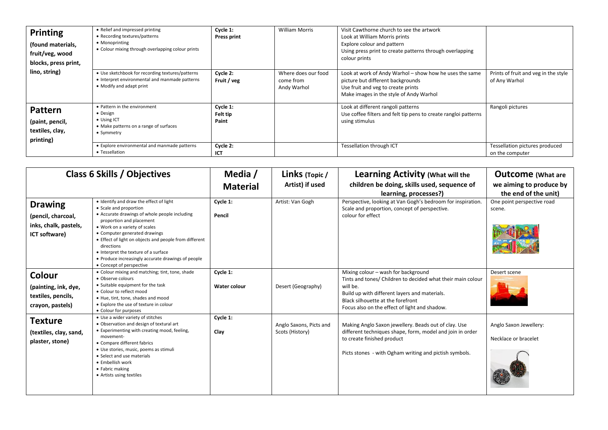| <b>Printing</b><br>(found materials,<br>fruit/veg, wood<br>blocks, press print, | • Relief and impressed printing<br>• Recording textures/patterns<br>• Monoprinting<br>• Colour mixing through overlapping colour prints | Cycle 1:<br><b>Press print</b> | <b>William Morris</b>                           | Visit Cawthorne church to see the artwork<br>Look at William Morris prints<br>Explore colour and pattern<br>Using press print to create patterns through overlapping<br>colour prints |                                                       |
|---------------------------------------------------------------------------------|-----------------------------------------------------------------------------------------------------------------------------------------|--------------------------------|-------------------------------------------------|---------------------------------------------------------------------------------------------------------------------------------------------------------------------------------------|-------------------------------------------------------|
| lino, string)                                                                   | • Use sketchbook for recording textures/patterns<br>• Interpret environmental and manmade patterns<br>• Modify and adapt print          | Cycle 2:<br>Fruit / veg        | Where does our food<br>come from<br>Andy Warhol | Look at work of Andy Warhol - show how he uses the same<br>picture but different backgrounds<br>Use fruit and veg to create prints<br>Make images in the style of Andy Warhol         | Prints of fruit and veg in the style<br>of Any Warhol |
| Pattern<br>(paint, pencil,<br>textiles, clay,<br>printing)                      | • Pattern in the environment<br>• Design<br>• Using ICT<br>• Make patterns on a range of surfaces<br>• Symmetry                         | Cycle 1:<br>Felt tip<br>Paint  |                                                 | Look at different rangoli patterns<br>Use coffee filters and felt tip pens to create rangloi patterns<br>using stimulus                                                               | Rangoli pictures                                      |
|                                                                                 | • Explore environmental and manmade patterns<br>• Tessellation                                                                          | Cycle 2:<br>ICT                |                                                 | Tessellation through ICT                                                                                                                                                              | Tessellation pictures produced<br>on the computer     |

| <b>Class 6 Skills / Objectives</b>                                             |                                                                                                                                                                                                                                                                                                                                                                                                                    | Media /<br><b>Material</b> | Links (Topic/<br>Artist) if used           | <b>Learning Activity (What will the</b><br>children be doing, skills used, sequence of<br>learning, processes?)                                                                                                                                       | <b>Outcome</b> (What are<br>we aiming to produce by<br>the end of the unit) |
|--------------------------------------------------------------------------------|--------------------------------------------------------------------------------------------------------------------------------------------------------------------------------------------------------------------------------------------------------------------------------------------------------------------------------------------------------------------------------------------------------------------|----------------------------|--------------------------------------------|-------------------------------------------------------------------------------------------------------------------------------------------------------------------------------------------------------------------------------------------------------|-----------------------------------------------------------------------------|
| <b>Drawing</b><br>(pencil, charcoal,<br>inks, chalk, pastels,<br>ICT software) | . Identify and draw the effect of light<br>• Scale and proportion<br>• Accurate drawings of whole people including<br>proportion and placement<br>. Work on a variety of scales<br>• Computer generated drawings<br>• Effect of light on objects and people from different<br>directions<br>• Interpret the texture of a surface<br>• Produce increasingly accurate drawings of people<br>• Concept of perspective | Cycle 1:<br>Pencil         | Artist: Van Gogh                           | Perspective, looking at Van Gogh's bedroom for inspiration.<br>Scale and proportion, concept of perspective.<br>colour for effect                                                                                                                     | One point perspective road<br>scene.                                        |
| Colour<br>(painting, ink, dye,<br>textiles, pencils,<br>crayon, pastels)       | • Colour mixing and matching; tint, tone, shade<br>• Observe colours<br>• Suitable equipment for the task<br>• Colour to reflect mood<br>. Hue, tint, tone, shades and mood<br>• Explore the use of texture in colour<br>• Colour for purposes                                                                                                                                                                     | Cycle 1:<br>Water colour   | Desert (Geography)                         | Mixing colour - wash for background<br>Tints and tones/ Children to decided what their main colour<br>will be.<br>Build up with different layers and materials.<br>Black silhouette at the forefront<br>Focus also on the effect of light and shadow. | Desert scene                                                                |
| <b>Texture</b><br>(textiles, clay, sand,<br>plaster, stone)                    | • Use a wider variety of stitches<br>• Observation and design of textural art<br>• Experimenting with creating mood, feeling,<br>movement-<br>• Compare different fabrics<br>· Use stories, music, poems as stimuli<br>• Select and use materials<br>• Embellish work<br>• Fabric making<br>• Artists using textiles                                                                                               | Cycle 1:<br>Clay           | Anglo Saxons, Picts and<br>Scots (History) | Making Anglo Saxon jewellery. Beads out of clay. Use<br>different techniques shape, form, model and join in order<br>to create finished product<br>Picts stones - with Ogham writing and pictish symbols.                                             | Anglo Saxon Jewellery:<br>Necklace or bracelet                              |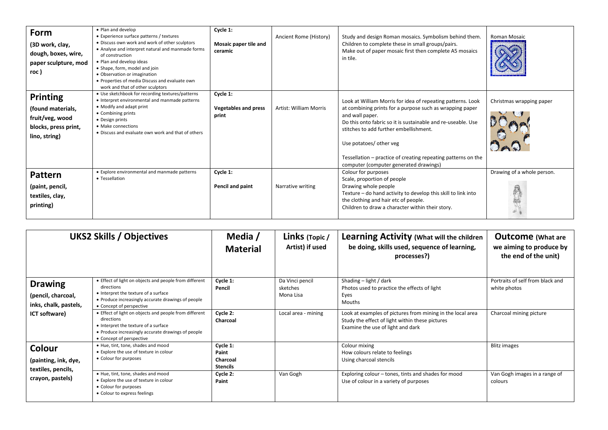| Form<br>(3D work, clay,<br>dough, boxes, wire,<br>paper sculpture, mod<br>roc)                   | • Plan and develop<br>• Experience surface patterns / textures<br>. Discuss own work and work of other sculptors<br>• Analyse and interpret natural and manmade forms<br>of construction<br>. Plan and develop ideas<br>• Shape, form, model and join<br>• Observation or imagination<br>• Properties of media Discuss and evaluate own<br>work and that of other sculptors | Cycle 1:<br>Mosaic paper tile and<br>ceramic     | Ancient Rome (History) | Study and design Roman mosaics. Symbolism behind them.<br>Children to complete these in small groups/pairs.<br>Make out of paper mosaic first then complete A5 mosaics<br>in tile.                                                                                                                                                                                                         | <b>Roman Mosaic</b>        |
|--------------------------------------------------------------------------------------------------|-----------------------------------------------------------------------------------------------------------------------------------------------------------------------------------------------------------------------------------------------------------------------------------------------------------------------------------------------------------------------------|--------------------------------------------------|------------------------|--------------------------------------------------------------------------------------------------------------------------------------------------------------------------------------------------------------------------------------------------------------------------------------------------------------------------------------------------------------------------------------------|----------------------------|
| <b>Printing</b><br>(found materials,<br>fruit/veg, wood<br>blocks, press print,<br>lino, string) | • Use sketchbook for recording textures/patterns<br>• Interpret environmental and manmade patterns<br>• Modify and adapt print<br>• Combining prints<br>• Design prints<br>• Make connections<br>• Discuss and evaluate own work and that of others                                                                                                                         | Cycle 1:<br><b>Vegetables and press</b><br>print | Artist: William Morris | Look at William Morris for idea of repeating patterns. Look<br>at combining prints for a purpose such as wrapping paper<br>and wall paper.<br>Do this onto fabric so it is sustainable and re-useable. Use<br>stitches to add further embellishment.<br>Use potatoes/ other veg<br>Tessellation – practice of creating repeating patterns on the<br>computer (computer generated drawings) | Christmas wrapping paper   |
| <b>Pattern</b><br>(paint, pencil,<br>textiles, clay,<br>printing)                                | • Explore environmental and manmade patterns<br>• Tessellation                                                                                                                                                                                                                                                                                                              | Cycle 1:<br>Pencil and paint                     | Narrative writing      | Colour for purposes<br>Scale, proportion of people<br>Drawing whole people<br>Texture – do hand activity to develop this skill to link into<br>the clothing and hair etc of people.<br>Children to draw a character within their story.                                                                                                                                                    | Drawing of a whole person. |

| <b>UKS2 Skills / Objectives</b>                               |                                                                                                                                                                                                | Media /<br><b>Material</b>                       | Links (Topic/<br>Artist) if used         | Learning Activity (What will the children<br>be doing, skills used, sequence of learning,<br>processes?)                                           | <b>Outcome</b> (What are<br>we aiming to produce by<br>the end of the unit) |
|---------------------------------------------------------------|------------------------------------------------------------------------------------------------------------------------------------------------------------------------------------------------|--------------------------------------------------|------------------------------------------|----------------------------------------------------------------------------------------------------------------------------------------------------|-----------------------------------------------------------------------------|
| <b>Drawing</b><br>(pencil, charcoal,<br>inks, chalk, pastels, | • Effect of light on objects and people from different<br>directions<br>• Interpret the texture of a surface<br>• Produce increasingly accurate drawings of people<br>• Concept of perspective | Cycle 1:<br>Pencil                               | Da Vinci pencil<br>sketches<br>Mona Lisa | Shading – light / dark<br>Photos used to practice the effects of light<br>Eyes<br>Mouths                                                           | Portraits of self from black and<br>white photos                            |
| ICT software)                                                 | • Effect of light on objects and people from different<br>directions<br>• Interpret the texture of a surface<br>• Produce increasingly accurate drawings of people<br>• Concept of perspective | Cycle 2:<br>Charcoal                             | Local area - mining                      | Look at examples of pictures from mining in the local area<br>Study the effect of light within these pictures<br>Examine the use of light and dark | Charcoal mining picture                                                     |
| Colour<br>(painting, ink, dye,<br>textiles, pencils,          | • Hue, tint, tone, shades and mood<br>• Explore the use of texture in colour<br>• Colour for purposes                                                                                          | Cycle 1:<br>Paint<br>Charcoal<br><b>Stencils</b> |                                          | Colour mixing<br>How colours relate to feelings<br>Using charcoal stencils                                                                         | <b>Blitz images</b>                                                         |
| crayon, pastels)                                              | . Hue, tint, tone, shades and mood<br>• Explore the use of texture in colour<br>• Colour for purposes<br>• Colour to express feelings                                                          | Cycle 2:<br>Paint                                | Van Gogh                                 | Exploring colour – tones, tints and shades for mood<br>Use of colour in a variety of purposes                                                      | Van Gogh images in a range of<br>colours                                    |